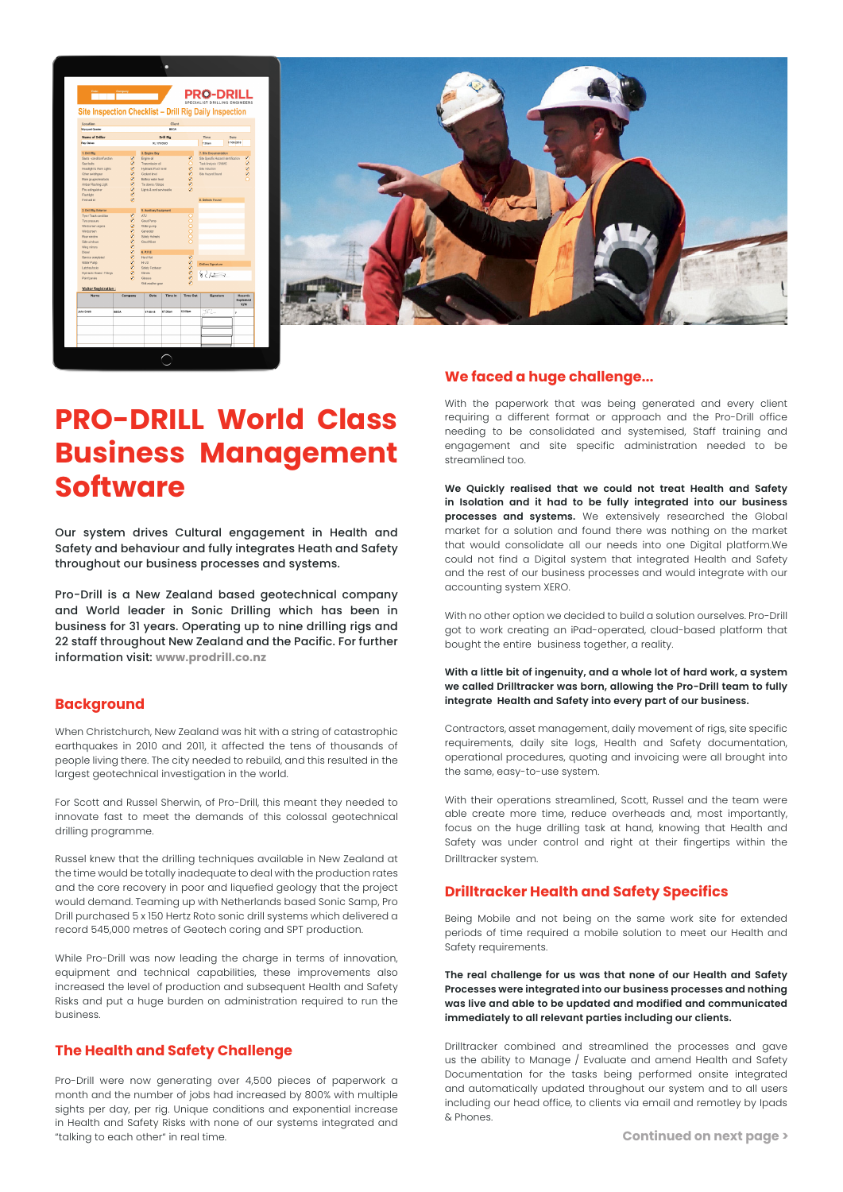| Location<br>Client<br><b>Wynysed Quarter</b><br>RECA<br>Name of Driller<br><b>Drill Rig</b><br>Time<br>Date<br>1708-2018<br><b>Ray Outun</b><br>XL 170 DUO<br>7.30am<br>1. Drill Rig<br>3. Engine Bay<br>7. Site Documentation<br>Seats - conditionfunction<br>Engine oil<br>8000000<br>Site Specific Hazard Identification<br>989999999<br>0000<br>Seat behs<br>Transmission oil<br>Task Analysis / SWMS<br>Site Industries<br><b>Headlight &amp; Work Lights</b><br><b>Hydraulic Flaid level</b><br>Other syntchcover<br><b>Coolerd Irmal</b><br>Site Hazard Board<br>Main cauges/readouts<br>Battery water level<br>Tie downs / Strops<br>Anber Flashing Light<br>Fre extraulater<br>Lights & cord serviceable<br>Flashfight<br>First-aid ich<br><b>B. Defects Found</b><br>2. Dvill Rig Exterior<br>5. Audiary Equipment<br>98999999999<br>ATV.<br>Tyre / Track condition<br>000000<br>Time pressure<br>Grout Pump<br>Windscreen wipers<br>Weter pump<br>Windsgreen<br>Generator<br><b>Rear window</b><br>Safety Helmets<br>Side windows<br>Grout Moor<br>Wing minors<br><b>G.P.P.B</b><br>Diesel<br><b>Hard Hat</b><br>Service completed<br>800008<br>H-Ye<br>Water Pump<br><b>Drillers Signature</b><br>Latchestocks<br>Safety Fectivale<br>82/20<br><b>Hydraulic Hoses / Fittings</b><br><b>Gloves</b><br>Paintipanels<br>Glosses<br>Wet weather gaar<br>Visitor Registration:<br><b>Manards</b><br>Date<br><b>Time In</b><br><b>Time Out</b><br>Signature<br>Name<br>Company<br>Y/N<br>YKL.<br>07.30am<br>12.00pm<br>John Smith<br><b>BECA</b><br>17-08-18<br>y |  |  |  |  |           |  |  |  |
|-------------------------------------------------------------------------------------------------------------------------------------------------------------------------------------------------------------------------------------------------------------------------------------------------------------------------------------------------------------------------------------------------------------------------------------------------------------------------------------------------------------------------------------------------------------------------------------------------------------------------------------------------------------------------------------------------------------------------------------------------------------------------------------------------------------------------------------------------------------------------------------------------------------------------------------------------------------------------------------------------------------------------------------------------------------------------------------------------------------------------------------------------------------------------------------------------------------------------------------------------------------------------------------------------------------------------------------------------------------------------------------------------------------------------------------------------------------------------------------------------------------------------------------------------------------------------|--|--|--|--|-----------|--|--|--|
|                                                                                                                                                                                                                                                                                                                                                                                                                                                                                                                                                                                                                                                                                                                                                                                                                                                                                                                                                                                                                                                                                                                                                                                                                                                                                                                                                                                                                                                                                                                                                                         |  |  |  |  |           |  |  |  |
|                                                                                                                                                                                                                                                                                                                                                                                                                                                                                                                                                                                                                                                                                                                                                                                                                                                                                                                                                                                                                                                                                                                                                                                                                                                                                                                                                                                                                                                                                                                                                                         |  |  |  |  |           |  |  |  |
|                                                                                                                                                                                                                                                                                                                                                                                                                                                                                                                                                                                                                                                                                                                                                                                                                                                                                                                                                                                                                                                                                                                                                                                                                                                                                                                                                                                                                                                                                                                                                                         |  |  |  |  |           |  |  |  |
|                                                                                                                                                                                                                                                                                                                                                                                                                                                                                                                                                                                                                                                                                                                                                                                                                                                                                                                                                                                                                                                                                                                                                                                                                                                                                                                                                                                                                                                                                                                                                                         |  |  |  |  |           |  |  |  |
|                                                                                                                                                                                                                                                                                                                                                                                                                                                                                                                                                                                                                                                                                                                                                                                                                                                                                                                                                                                                                                                                                                                                                                                                                                                                                                                                                                                                                                                                                                                                                                         |  |  |  |  |           |  |  |  |
|                                                                                                                                                                                                                                                                                                                                                                                                                                                                                                                                                                                                                                                                                                                                                                                                                                                                                                                                                                                                                                                                                                                                                                                                                                                                                                                                                                                                                                                                                                                                                                         |  |  |  |  |           |  |  |  |
|                                                                                                                                                                                                                                                                                                                                                                                                                                                                                                                                                                                                                                                                                                                                                                                                                                                                                                                                                                                                                                                                                                                                                                                                                                                                                                                                                                                                                                                                                                                                                                         |  |  |  |  |           |  |  |  |
|                                                                                                                                                                                                                                                                                                                                                                                                                                                                                                                                                                                                                                                                                                                                                                                                                                                                                                                                                                                                                                                                                                                                                                                                                                                                                                                                                                                                                                                                                                                                                                         |  |  |  |  |           |  |  |  |
|                                                                                                                                                                                                                                                                                                                                                                                                                                                                                                                                                                                                                                                                                                                                                                                                                                                                                                                                                                                                                                                                                                                                                                                                                                                                                                                                                                                                                                                                                                                                                                         |  |  |  |  |           |  |  |  |
|                                                                                                                                                                                                                                                                                                                                                                                                                                                                                                                                                                                                                                                                                                                                                                                                                                                                                                                                                                                                                                                                                                                                                                                                                                                                                                                                                                                                                                                                                                                                                                         |  |  |  |  |           |  |  |  |
|                                                                                                                                                                                                                                                                                                                                                                                                                                                                                                                                                                                                                                                                                                                                                                                                                                                                                                                                                                                                                                                                                                                                                                                                                                                                                                                                                                                                                                                                                                                                                                         |  |  |  |  |           |  |  |  |
|                                                                                                                                                                                                                                                                                                                                                                                                                                                                                                                                                                                                                                                                                                                                                                                                                                                                                                                                                                                                                                                                                                                                                                                                                                                                                                                                                                                                                                                                                                                                                                         |  |  |  |  |           |  |  |  |
|                                                                                                                                                                                                                                                                                                                                                                                                                                                                                                                                                                                                                                                                                                                                                                                                                                                                                                                                                                                                                                                                                                                                                                                                                                                                                                                                                                                                                                                                                                                                                                         |  |  |  |  |           |  |  |  |
|                                                                                                                                                                                                                                                                                                                                                                                                                                                                                                                                                                                                                                                                                                                                                                                                                                                                                                                                                                                                                                                                                                                                                                                                                                                                                                                                                                                                                                                                                                                                                                         |  |  |  |  |           |  |  |  |
|                                                                                                                                                                                                                                                                                                                                                                                                                                                                                                                                                                                                                                                                                                                                                                                                                                                                                                                                                                                                                                                                                                                                                                                                                                                                                                                                                                                                                                                                                                                                                                         |  |  |  |  |           |  |  |  |
|                                                                                                                                                                                                                                                                                                                                                                                                                                                                                                                                                                                                                                                                                                                                                                                                                                                                                                                                                                                                                                                                                                                                                                                                                                                                                                                                                                                                                                                                                                                                                                         |  |  |  |  |           |  |  |  |
|                                                                                                                                                                                                                                                                                                                                                                                                                                                                                                                                                                                                                                                                                                                                                                                                                                                                                                                                                                                                                                                                                                                                                                                                                                                                                                                                                                                                                                                                                                                                                                         |  |  |  |  |           |  |  |  |
|                                                                                                                                                                                                                                                                                                                                                                                                                                                                                                                                                                                                                                                                                                                                                                                                                                                                                                                                                                                                                                                                                                                                                                                                                                                                                                                                                                                                                                                                                                                                                                         |  |  |  |  |           |  |  |  |
|                                                                                                                                                                                                                                                                                                                                                                                                                                                                                                                                                                                                                                                                                                                                                                                                                                                                                                                                                                                                                                                                                                                                                                                                                                                                                                                                                                                                                                                                                                                                                                         |  |  |  |  |           |  |  |  |
|                                                                                                                                                                                                                                                                                                                                                                                                                                                                                                                                                                                                                                                                                                                                                                                                                                                                                                                                                                                                                                                                                                                                                                                                                                                                                                                                                                                                                                                                                                                                                                         |  |  |  |  |           |  |  |  |
|                                                                                                                                                                                                                                                                                                                                                                                                                                                                                                                                                                                                                                                                                                                                                                                                                                                                                                                                                                                                                                                                                                                                                                                                                                                                                                                                                                                                                                                                                                                                                                         |  |  |  |  |           |  |  |  |
|                                                                                                                                                                                                                                                                                                                                                                                                                                                                                                                                                                                                                                                                                                                                                                                                                                                                                                                                                                                                                                                                                                                                                                                                                                                                                                                                                                                                                                                                                                                                                                         |  |  |  |  |           |  |  |  |
|                                                                                                                                                                                                                                                                                                                                                                                                                                                                                                                                                                                                                                                                                                                                                                                                                                                                                                                                                                                                                                                                                                                                                                                                                                                                                                                                                                                                                                                                                                                                                                         |  |  |  |  |           |  |  |  |
|                                                                                                                                                                                                                                                                                                                                                                                                                                                                                                                                                                                                                                                                                                                                                                                                                                                                                                                                                                                                                                                                                                                                                                                                                                                                                                                                                                                                                                                                                                                                                                         |  |  |  |  |           |  |  |  |
|                                                                                                                                                                                                                                                                                                                                                                                                                                                                                                                                                                                                                                                                                                                                                                                                                                                                                                                                                                                                                                                                                                                                                                                                                                                                                                                                                                                                                                                                                                                                                                         |  |  |  |  |           |  |  |  |
|                                                                                                                                                                                                                                                                                                                                                                                                                                                                                                                                                                                                                                                                                                                                                                                                                                                                                                                                                                                                                                                                                                                                                                                                                                                                                                                                                                                                                                                                                                                                                                         |  |  |  |  |           |  |  |  |
|                                                                                                                                                                                                                                                                                                                                                                                                                                                                                                                                                                                                                                                                                                                                                                                                                                                                                                                                                                                                                                                                                                                                                                                                                                                                                                                                                                                                                                                                                                                                                                         |  |  |  |  |           |  |  |  |
|                                                                                                                                                                                                                                                                                                                                                                                                                                                                                                                                                                                                                                                                                                                                                                                                                                                                                                                                                                                                                                                                                                                                                                                                                                                                                                                                                                                                                                                                                                                                                                         |  |  |  |  |           |  |  |  |
|                                                                                                                                                                                                                                                                                                                                                                                                                                                                                                                                                                                                                                                                                                                                                                                                                                                                                                                                                                                                                                                                                                                                                                                                                                                                                                                                                                                                                                                                                                                                                                         |  |  |  |  |           |  |  |  |
|                                                                                                                                                                                                                                                                                                                                                                                                                                                                                                                                                                                                                                                                                                                                                                                                                                                                                                                                                                                                                                                                                                                                                                                                                                                                                                                                                                                                                                                                                                                                                                         |  |  |  |  | Explained |  |  |  |
|                                                                                                                                                                                                                                                                                                                                                                                                                                                                                                                                                                                                                                                                                                                                                                                                                                                                                                                                                                                                                                                                                                                                                                                                                                                                                                                                                                                                                                                                                                                                                                         |  |  |  |  |           |  |  |  |
|                                                                                                                                                                                                                                                                                                                                                                                                                                                                                                                                                                                                                                                                                                                                                                                                                                                                                                                                                                                                                                                                                                                                                                                                                                                                                                                                                                                                                                                                                                                                                                         |  |  |  |  |           |  |  |  |
|                                                                                                                                                                                                                                                                                                                                                                                                                                                                                                                                                                                                                                                                                                                                                                                                                                                                                                                                                                                                                                                                                                                                                                                                                                                                                                                                                                                                                                                                                                                                                                         |  |  |  |  |           |  |  |  |



# **PRO-DRILL World Class Business Management Software**

Our system drives Cultural engagement in Health and Safety and behaviour and fully integrates Heath and Safety throughout our business processes and systems.

Pro-Drill is a New Zealand based geotechnical company and World leader in Sonic Drilling which has been in business for 31 years. Operating up to nine drilling rigs and 22 staff throughout New Zealand and the Pacific. For further information visit: **www.prodrill.co.nz**

# **Background**

When Christchurch, New Zealand was hit with a string of catastrophic earthquakes in 2010 and 2011, it affected the tens of thousands of people living there. The city needed to rebuild, and this resulted in the largest geotechnical investigation in the world.

For Scott and Russel Sherwin, of Pro-Drill, this meant they needed to innovate fast to meet the demands of this colossal geotechnical drilling programme.

Russel knew that the drilling techniques available in New Zealand at the time would be totally inadequate to deal with the production rates and the core recovery in poor and liquefied geology that the project would demand. Teaming up with Netherlands based Sonic Samp, Pro Drill purchased 5 x 150 Hertz Roto sonic drill systems which delivered a record 545,000 metres of Geotech coring and SPT production.

While Pro-Drill was now leading the charge in terms of innovation, equipment and technical capabilities, these improvements also increased the level of production and subsequent Health and Safety Risks and put a huge burden on administration required to run the business.

# **The Health and Safety Challenge**

Pro-Drill were now generating over 4,500 pieces of paperwork a month and the number of jobs had increased by 800% with multiple sights per day, per rig. Unique conditions and exponential increase in Health and Safety Risks with none of our systems integrated and "talking to each other" in real time. **Continued on next page >**

#### **We faced a huge challenge...**

With the paperwork that was being generated and every client requiring a different format or approach and the Pro-Drill office needing to be consolidated and systemised, Staff training and engagement and site specific administration needed to be streamlined too.

**We Quickly realised that we could not treat Health and Safety in Isolation and it had to be fully integrated into our business processes and systems.** We extensively researched the Global market for a solution and found there was nothing on the market that would consolidate all our needs into one Digital platform.We could not find a Digital system that integrated Health and Safety and the rest of our business processes and would integrate with our accounting system XERO.

With no other option we decided to build a solution ourselves. Pro-Drill got to work creating an iPad-operated, cloud-based platform that bought the entire business together, a reality.

#### **With a little bit of ingenuity, and a whole lot of hard work, a system we called Drilltracker was born, allowing the Pro-Drill team to fully integrate Health and Safety into every part of our business.**

Contractors, asset management, daily movement of rigs, site specific requirements, daily site logs, Health and Safety documentation, operational procedures, quoting and invoicing were all brought into the same, easy-to-use system.

With their operations streamlined, Scott, Russel and the team were able create more time, reduce overheads and, most importantly, focus on the huge drilling task at hand, knowing that Health and Safety was under control and right at their fingertips within the Drilltracker system.

# **Drilltracker Health and Safety Specifics**

Being Mobile and not being on the same work site for extended periods of time required a mobile solution to meet our Health and Safety requirements.

**The real challenge for us was that none of our Health and Safety Processes were integrated into our business processes and nothing was live and able to be updated and modified and communicated immediately to all relevant parties including our clients.**

Drilltracker combined and streamlined the processes and gave us the ability to Manage / Evaluate and amend Health and Safety Documentation for the tasks being performed onsite integrated and automatically updated throughout our system and to all users including our head office, to clients via email and remotley by Ipads & Phones.